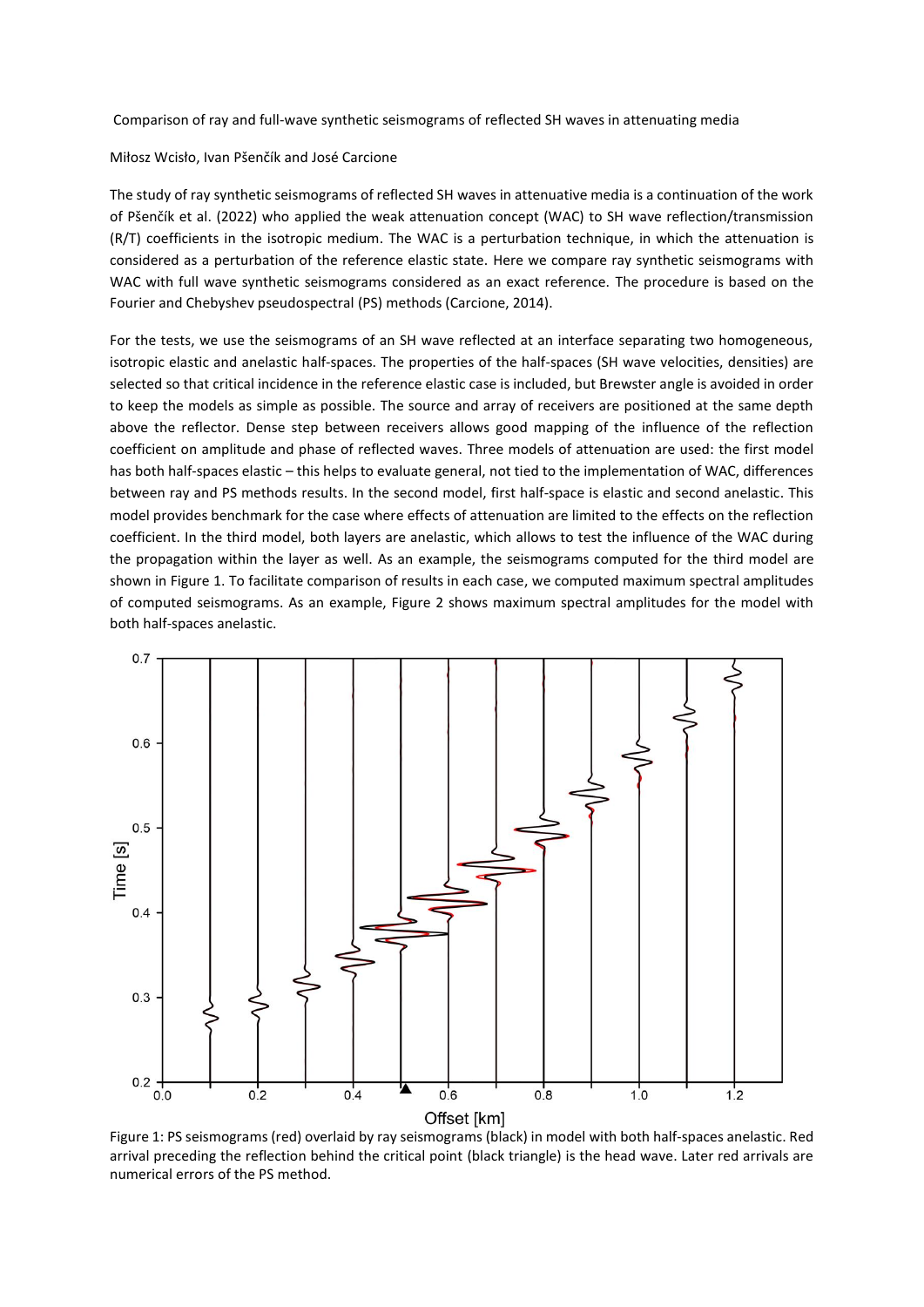Comparison of ray and full-wave synthetic seismograms of reflected SH waves in attenuating media

Miłosz Wcisło, Ivan Pšenčík and José Carcione

The study of ray synthetic seismograms of reflected SH waves in attenuative media is a continuation of the work of Pšenčík et al. (2022) who applied the weak attenuation concept (WAC) to SH wave reflection/transmission (R/T) coefficients in the isotropic medium. The WAC is a perturbation technique, in which the attenuation is considered as a perturbation of the reference elastic state. Here we compare ray synthetic seismograms with WAC with full wave synthetic seismograms considered as an exact reference. The procedure is based on the Fourier and Chebyshev pseudospectral (PS) methods (Carcione, 2014).

For the tests, we use the seismograms of an SH wave reflected at an interface separating two homogeneous, isotropic elastic and anelastic half-spaces. The properties of the half-spaces (SH wave velocities, densities) are selected so that critical incidence in the reference elastic case is included, but Brewster angle is avoided in order to keep the models as simple as possible. The source and array of receivers are positioned at the same depth above the reflector. Dense step between receivers allows good mapping of the influence of the reflection coefficient on amplitude and phase of reflected waves. Three models of attenuation are used: the first model has both half-spaces elastic – this helps to evaluate general, not tied to the implementation of WAC, differences between ray and PS methods results. In the second model, first half-space is elastic and second anelastic. This model provides benchmark for the case where effects of attenuation are limited to the effects on the reflection coefficient. In the third model, both layers are anelastic, which allows to test the influence of the WAC during the propagation within the layer as well. As an example, the seismograms computed for the third model are shown in Figure 1. To facilitate comparison of results in each case, we computed maximum spectral amplitudes of computed seismograms. As an example, Figure 2 shows maximum spectral amplitudes for the model with both half-spaces anelastic.



Figure 1: PS seismograms (red) overlaid by ray seismograms (black) in model with both half-spaces anelastic. Red arrival preceding the reflection behind the critical point (black triangle) is the head wave. Later red arrivals are numerical errors of the PS method.